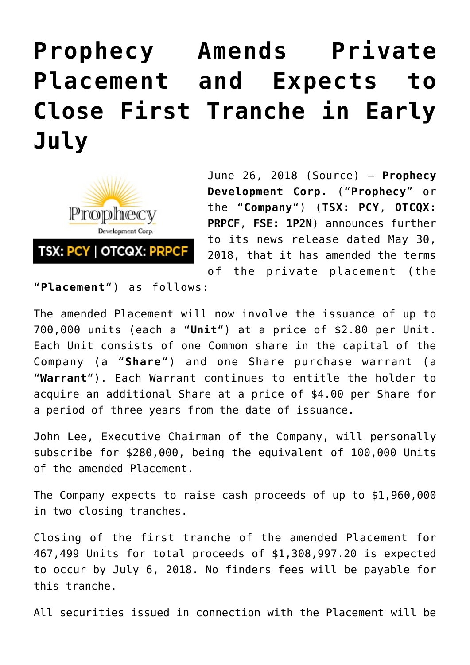## **[Prophecy Amends Private](https://investorintel.com/markets/technology-metals/technology-metals-news/prophecy-amends-private-placement-expects-close-first-tranche-early-july/) [Placement and Expects to](https://investorintel.com/markets/technology-metals/technology-metals-news/prophecy-amends-private-placement-expects-close-first-tranche-early-july/) [Close First Tranche in Early](https://investorintel.com/markets/technology-metals/technology-metals-news/prophecy-amends-private-placement-expects-close-first-tranche-early-july/) [July](https://investorintel.com/markets/technology-metals/technology-metals-news/prophecy-amends-private-placement-expects-close-first-tranche-early-july/)**



June 26, 2018 ([Source](https://investorintel.com/iintel-members/prophecy-development-corp-2/)) — **Prophecy Development Corp.** ("**Prophecy**" or the "**Company**") (**TSX: PCY**, **OTCQX: PRPCF**, **FSE: 1P2N**) announces further to its news release dated May 30, 2018, that it has amended the terms of the private placement (the

"**Placement**") as follows:

The amended Placement will now involve the issuance of up to 700,000 units (each a "**Unit**") at a price of \$2.80 per Unit. Each Unit consists of one Common share in the capital of the Company (a "**Share**") and one Share purchase warrant (a "**Warrant**"). Each Warrant continues to entitle the holder to acquire an additional Share at a price of \$4.00 per Share for a period of three years from the date of issuance.

John Lee, Executive Chairman of the Company, will personally subscribe for \$280,000, being the equivalent of 100,000 Units of the amended Placement.

The Company expects to raise cash proceeds of up to \$1,960,000 in two closing tranches.

Closing of the first tranche of the amended Placement for 467,499 Units for total proceeds of \$1,308,997.20 is expected to occur by July 6, 2018. No finders fees will be payable for this tranche.

All securities issued in connection with the Placement will be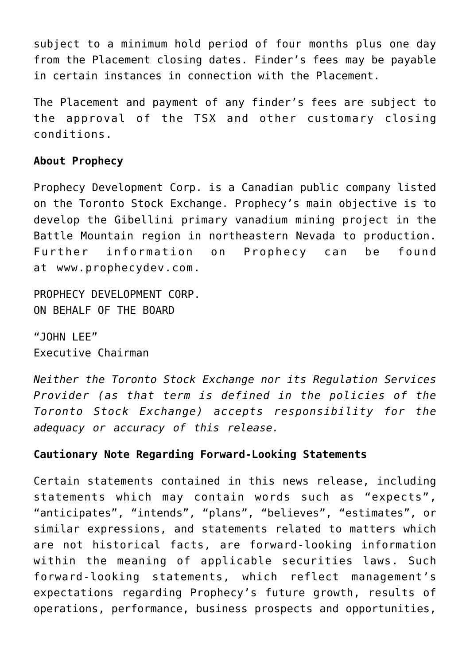subject to a minimum hold period of four months plus one day from the Placement closing dates. Finder's fees may be payable in certain instances in connection with the Placement.

The Placement and payment of any finder's fees are subject to the approval of the TSX and other customary closing conditions.

## **About Prophecy**

Prophecy Development Corp. is a Canadian public company listed on the Toronto Stock Exchange. Prophecy's main objective is to develop the Gibellini primary vanadium mining project in the Battle Mountain region in northeastern Nevada to production. Further information on Prophecy can be found at [www.prophecydev.com](http://pr.report/JHdzZS9E).

PROPHECY DEVELOPMENT CORP. ON BEHALF OF THE BOARD

"JOHN LFF" Executive Chairman

*Neither the Toronto Stock Exchange nor its Regulation Services Provider (as that term is defined in the policies of the Toronto Stock Exchange) accepts responsibility for the adequacy or accuracy of this release.*

## **Cautionary Note Regarding Forward-Looking Statements**

Certain statements contained in this news release, including statements which may contain words such as "expects", "anticipates", "intends", "plans", "believes", "estimates", or similar expressions, and statements related to matters which are not historical facts, are forward-looking information within the meaning of applicable securities laws. Such forward-looking statements, which reflect management's expectations regarding Prophecy's future growth, results of operations, performance, business prospects and opportunities,